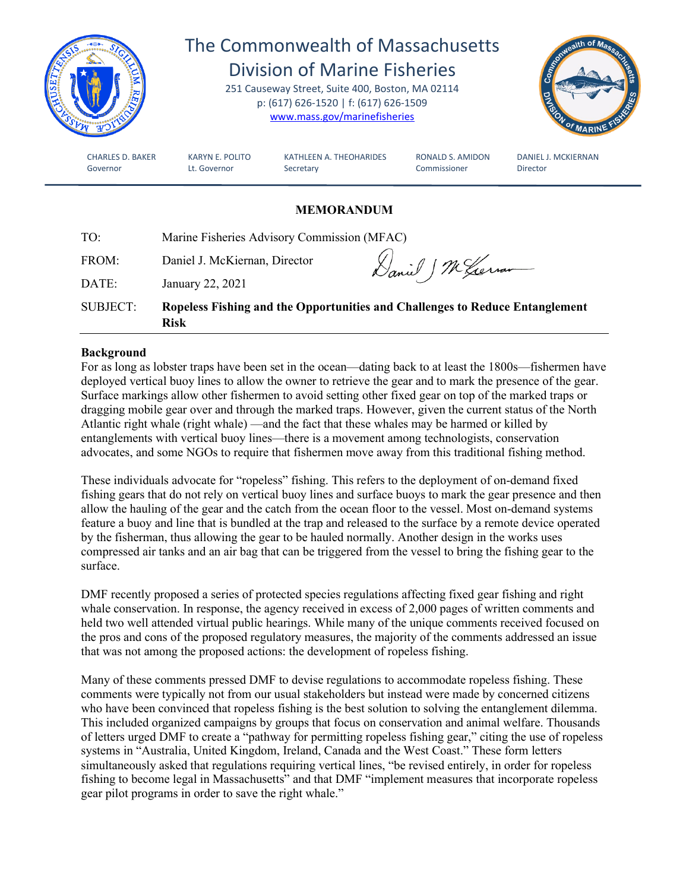

# The Commonwealth of Massachusetts Division of Marine Fisheries

251 Causeway Street, Suite 400, Boston, MA 02114 p: (617) 626-1520 | f: (617) 626-1509 [www.mass.gov/marinefisheries](http://www.mass.gov/marinefisheries)



CHARLES D. BAKER KARYN E. POLITO KATHLEEN A. THEOHARIDES RONALD S. AMIDON DANIEL J. MCKIERNAN Governor **Lt. Governor** Secretary **Commissioner** Director

# **MEMORANDUM**

| TO:             | Marine Fisheries Advisory Commission (MFAC) |                                                                              |  |
|-----------------|---------------------------------------------|------------------------------------------------------------------------------|--|
| FROM:           | Daniel J. McKiernan, Director               | Daniel J M German                                                            |  |
| DATE:           | January 22, 2021                            |                                                                              |  |
| <b>SUBJECT:</b> | <b>Risk</b>                                 | Ropeless Fishing and the Opportunities and Challenges to Reduce Entanglement |  |

### **Background**

For as long as lobster traps have been set in the ocean—dating back to at least the 1800s—fishermen have deployed vertical buoy lines to allow the owner to retrieve the gear and to mark the presence of the gear. Surface markings allow other fishermen to avoid setting other fixed gear on top of the marked traps or dragging mobile gear over and through the marked traps. However, given the current status of the North Atlantic right whale (right whale) —and the fact that these whales may be harmed or killed by entanglements with vertical buoy lines—there is a movement among technologists, conservation advocates, and some NGOs to require that fishermen move away from this traditional fishing method.

These individuals advocate for "ropeless" fishing. This refers to the deployment of on-demand fixed fishing gears that do not rely on vertical buoy lines and surface buoys to mark the gear presence and then allow the hauling of the gear and the catch from the ocean floor to the vessel. Most on-demand systems feature a buoy and line that is bundled at the trap and released to the surface by a remote device operated by the fisherman, thus allowing the gear to be hauled normally. Another design in the works uses compressed air tanks and an air bag that can be triggered from the vessel to bring the fishing gear to the surface.

DMF recently proposed a series of protected species regulations affecting fixed gear fishing and right whale conservation. In response, the agency received in excess of 2,000 pages of written comments and held two well attended virtual public hearings. While many of the unique comments received focused on the pros and cons of the proposed regulatory measures, the majority of the comments addressed an issue that was not among the proposed actions: the development of ropeless fishing.

Many of these comments pressed DMF to devise regulations to accommodate ropeless fishing. These comments were typically not from our usual stakeholders but instead were made by concerned citizens who have been convinced that ropeless fishing is the best solution to solving the entanglement dilemma. This included organized campaigns by groups that focus on conservation and animal welfare. Thousands of letters urged DMF to create a "pathway for permitting ropeless fishing gear," citing the use of ropeless systems in "Australia, United Kingdom, Ireland, Canada and the West Coast." These form letters simultaneously asked that regulations requiring vertical lines, "be revised entirely, in order for ropeless fishing to become legal in Massachusetts" and that DMF "implement measures that incorporate ropeless gear pilot programs in order to save the right whale."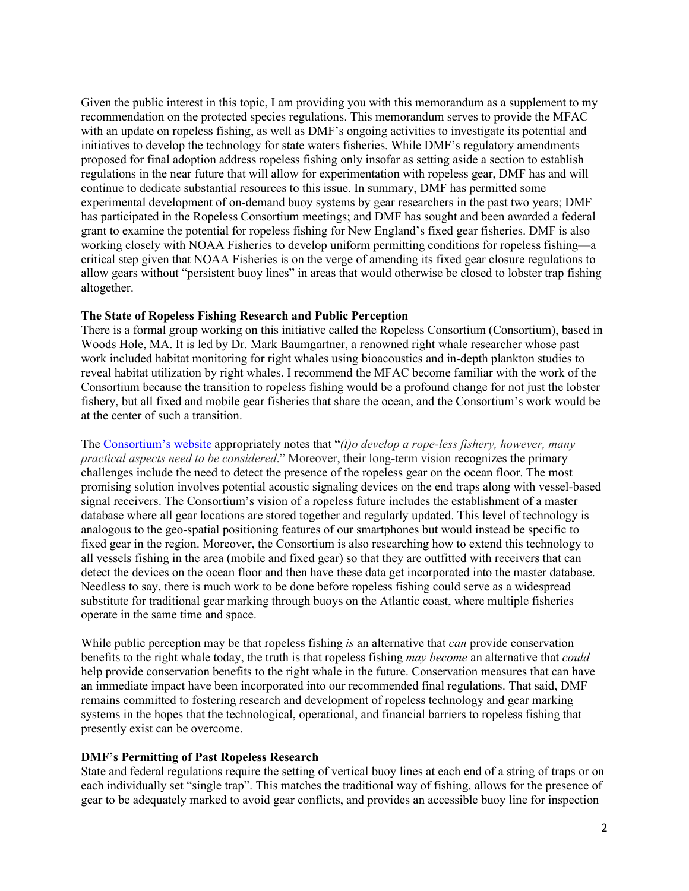Given the public interest in this topic, I am providing you with this memorandum as a supplement to my recommendation on the protected species regulations. This memorandum serves to provide the MFAC with an update on ropeless fishing, as well as DMF's ongoing activities to investigate its potential and initiatives to develop the technology for state waters fisheries. While DMF's regulatory amendments proposed for final adoption address ropeless fishing only insofar as setting aside a section to establish regulations in the near future that will allow for experimentation with ropeless gear, DMF has and will continue to dedicate substantial resources to this issue. In summary, DMF has permitted some experimental development of on-demand buoy systems by gear researchers in the past two years; DMF has participated in the Ropeless Consortium meetings; and DMF has sought and been awarded a federal grant to examine the potential for ropeless fishing for New England's fixed gear fisheries. DMF is also working closely with NOAA Fisheries to develop uniform permitting conditions for ropeless fishing—a critical step given that NOAA Fisheries is on the verge of amending its fixed gear closure regulations to allow gears without "persistent buoy lines" in areas that would otherwise be closed to lobster trap fishing altogether.

#### **The State of Ropeless Fishing Research and Public Perception**

There is a formal group working on this initiative called the Ropeless Consortium (Consortium), based in Woods Hole, MA. It is led by Dr. Mark Baumgartner, a renowned right whale researcher whose past work included habitat monitoring for right whales using bioacoustics and in-depth plankton studies to reveal habitat utilization by right whales. I recommend the MFAC become familiar with the work of the Consortium because the transition to ropeless fishing would be a profound change for not just the lobster fishery, but all fixed and mobile gear fisheries that share the ocean, and the Consortium's work would be at the center of such a transition.

The [Consortium's](https://ropeless.org/) website appropriately notes that "*(t)o develop a rope-less fishery, however, many practical aspects need to be considered*." Moreover, their long-term vision recognizes the primary challenges include the need to detect the presence of the ropeless gear on the ocean floor. The most promising solution involves potential acoustic signaling devices on the end traps along with vessel-based signal receivers. The Consortium's vision of a ropeless future includes the establishment of a master database where all gear locations are stored together and regularly updated. This level of technology is analogous to the geo-spatial positioning features of our smartphones but would instead be specific to fixed gear in the region. Moreover, the Consortium is also researching how to extend this technology to all vessels fishing in the area (mobile and fixed gear) so that they are outfitted with receivers that can detect the devices on the ocean floor and then have these data get incorporated into the master database. Needless to say, there is much work to be done before ropeless fishing could serve as a widespread substitute for traditional gear marking through buoys on the Atlantic coast, where multiple fisheries operate in the same time and space.

While public perception may be that ropeless fishing *is* an alternative that *can* provide conservation benefits to the right whale today, the truth is that ropeless fishing *may become* an alternative that *could* help provide conservation benefits to the right whale in the future. Conservation measures that can have an immediate impact have been incorporated into our recommended final regulations. That said, DMF remains committed to fostering research and development of ropeless technology and gear marking systems in the hopes that the technological, operational, and financial barriers to ropeless fishing that presently exist can be overcome.

#### **DMF's Permitting of Past Ropeless Research**

State and federal regulations require the setting of vertical buoy lines at each end of a string of traps or on each individually set "single trap". This matches the traditional way of fishing, allows for the presence of gear to be adequately marked to avoid gear conflicts, and provides an accessible buoy line for inspection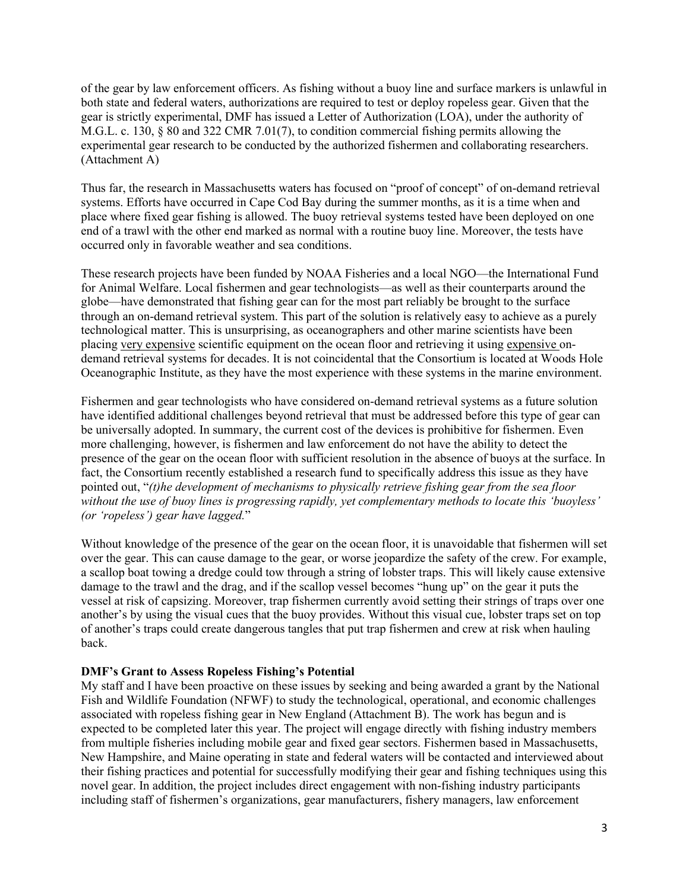of the gear by law enforcement officers. As fishing without a buoy line and surface markers is unlawful in both state and federal waters, authorizations are required to test or deploy ropeless gear. Given that the gear is strictly experimental, DMF has issued a Letter of Authorization (LOA), under the authority of M.G.L. c. 130, § 80 and 322 CMR 7.01(7), to condition commercial fishing permits allowing the experimental gear research to be conducted by the authorized fishermen and collaborating researchers. (Attachment A)

Thus far, the research in Massachusetts waters has focused on "proof of concept" of on-demand retrieval systems. Efforts have occurred in Cape Cod Bay during the summer months, as it is a time when and place where fixed gear fishing is allowed. The buoy retrieval systems tested have been deployed on one end of a trawl with the other end marked as normal with a routine buoy line. Moreover, the tests have occurred only in favorable weather and sea conditions.

These research projects have been funded by NOAA Fisheries and a local NGO—the International Fund for Animal Welfare. Local fishermen and gear technologists—as well as their counterparts around the globe—have demonstrated that fishing gear can for the most part reliably be brought to the surface through an on-demand retrieval system. This part of the solution is relatively easy to achieve as a purely technological matter. This is unsurprising, as oceanographers and other marine scientists have been placing very expensive scientific equipment on the ocean floor and retrieving it using expensive ondemand retrieval systems for decades. It is not coincidental that the Consortium is located at Woods Hole Oceanographic Institute, as they have the most experience with these systems in the marine environment.

Fishermen and gear technologists who have considered on-demand retrieval systems as a future solution have identified additional challenges beyond retrieval that must be addressed before this type of gear can be universally adopted. In summary, the current cost of the devices is prohibitive for fishermen. Even more challenging, however, is fishermen and law enforcement do not have the ability to detect the presence of the gear on the ocean floor with sufficient resolution in the absence of buoys at the surface. In fact, the Consortium recently established a research fund to specifically address this issue as they have pointed out, "*(t)he development of mechanisms to physically retrieve fishing gear from the sea floor without the use of buoy lines is progressing rapidly, yet complementary methods to locate this 'buoyless' (or 'ropeless') gear have lagged.*"

Without knowledge of the presence of the gear on the ocean floor, it is unavoidable that fishermen will set over the gear. This can cause damage to the gear, or worse jeopardize the safety of the crew. For example, a scallop boat towing a dredge could tow through a string of lobster traps. This will likely cause extensive damage to the trawl and the drag, and if the scallop vessel becomes "hung up" on the gear it puts the vessel at risk of capsizing. Moreover, trap fishermen currently avoid setting their strings of traps over one another's by using the visual cues that the buoy provides. Without this visual cue, lobster traps set on top of another's traps could create dangerous tangles that put trap fishermen and crew at risk when hauling back.

#### **DMF's Grant to Assess Ropeless Fishing's Potential**

My staff and I have been proactive on these issues by seeking and being awarded a grant by the National Fish and Wildlife Foundation (NFWF) to study the technological, operational, and economic challenges associated with ropeless fishing gear in New England (Attachment B). The work has begun and is expected to be completed later this year. The project will engage directly with fishing industry members from multiple fisheries including mobile gear and fixed gear sectors. Fishermen based in Massachusetts, New Hampshire, and Maine operating in state and federal waters will be contacted and interviewed about their fishing practices and potential for successfully modifying their gear and fishing techniques using this novel gear. In addition, the project includes direct engagement with non-fishing industry participants including staff of fishermen's organizations, gear manufacturers, fishery managers, law enforcement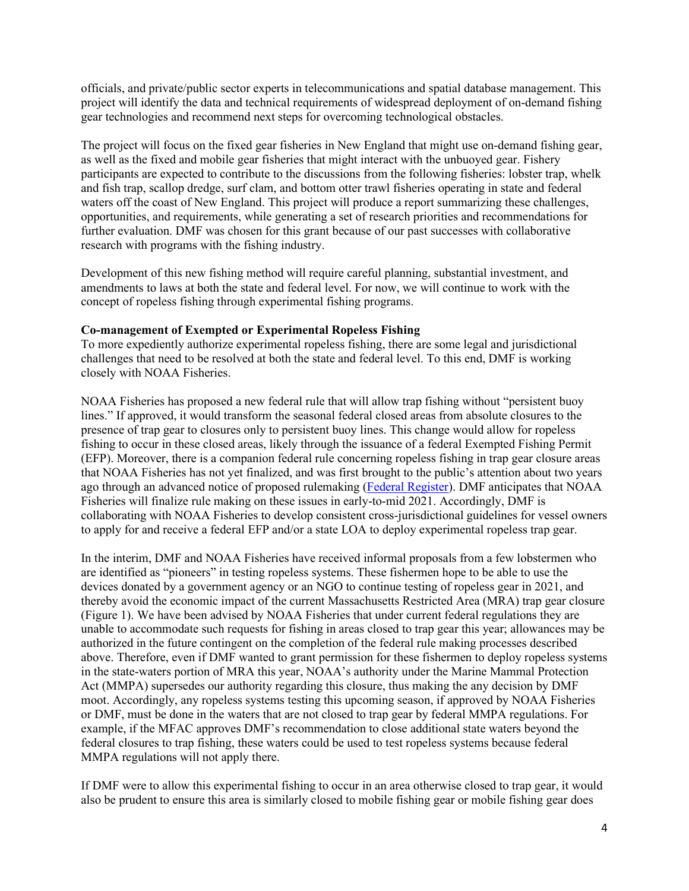officials, and private/public sector experts in telecommunications and spatial database management. This project will identify the data and technical requirements of widespread deployment of on-demand fishing gear technologies and recommend next steps for overcoming technological obstacles.

The project will focus on the fixed gear fisheries in New England that might use on-demand fishing gear, as well as the fixed and mobile gear fisheries that might interact with the unbuoyed gear. Fishery participants are expected to contribute to the discussions from the following fisheries: lobster trap, whelk and fish trap, scallop dredge, surf clam, and bottom otter trawl fisheries operating in state and federal waters off the coast of New England. This project will produce a report summarizing these challenges, opportunities, and requirements, while generating a set of research priorities and recommendations for further evaluation. DMF was chosen for this grant because of our past successes with collaborative research with programs with the fishing industry.

Development of this new fishing method will require careful planning, substantial investment, and amendments to laws at both the state and federal level. For now, we will continue to work with the concept of ropeless fishing through experimental fishing programs.

#### **Co-management of Exempted or Experimental Ropeless Fishing**

To more expediently authorize experimental ropeless fishing, there are some legal and jurisdictional challenges that need to be resolved at both the state and federal level. To this end, DMF is working closely with NOAA Fisheries.

NOAA Fisheries has proposed a new federal rule that will allow trap fishing without "persistent buoy lines." If approved, it would transform the seasonal federal closed areas from absolute closures to the presence of trap gear to closures only to persistent buoy lines. This change would allow for ropeless fishing to occur in these closed areas, likely through the issuance of a federal Exempted Fishing Permit (EFP). Moreover, there is a companion federal rule concerning ropeless fishing in trap gear closure areas that NOAA Fisheries has not yet finalized, and was first brought to the public's attention about two years ago through an advanced notice of proposed rulemaking [\(Federal Register\)](https://www.federalregister.gov/documents/2018/09/28/2018-21115/advance-notice-of-proposed-rulemaking-request-for-information). DMF anticipates that NOAA Fisheries will finalize rule making on these issues in early-to-mid 2021. Accordingly, DMF is collaborating with NOAA Fisheries to develop consistent cross-jurisdictional guidelines for vessel owners to apply for and receive a federal EFP and/or a state LOA to deploy experimental ropeless trap gear.

In the interim, DMF and NOAA Fisheries have received informal proposals from a few lobstermen who are identified as "pioneers" in testing ropeless systems. These fishermen hope to be able to use the devices donated by a government agency or an NGO to continue testing of ropeless gear in 2021, and thereby avoid the economic impact of the current Massachusetts Restricted Area (MRA) trap gear closure (Figure 1). We have been advised by NOAA Fisheries that under current federal regulations they are unable to accommodate such requests for fishing in areas closed to trap gear this year; allowances may be authorized in the future contingent on the completion of the federal rule making processes described above. Therefore, even if DMF wanted to grant permission for these fishermen to deploy ropeless systems in the state-waters portion of MRA this year, NOAA's authority under the Marine Mammal Protection Act (MMPA) supersedes our authority regarding this closure, thus making the any decision by DMF moot. Accordingly, any ropeless systems testing this upcoming season, if approved by NOAA Fisheries or DMF, must be done in the waters that are not closed to trap gear by federal MMPA regulations. For example, if the MFAC approves DMF's recommendation to close additional state waters beyond the federal closures to trap fishing, these waters could be used to test ropeless systems because federal MMPA regulations will not apply there.

If DMF were to allow this experimental fishing to occur in an area otherwise closed to trap gear, it would also be prudent to ensure this area is similarly closed to mobile fishing gear or mobile fishing gear does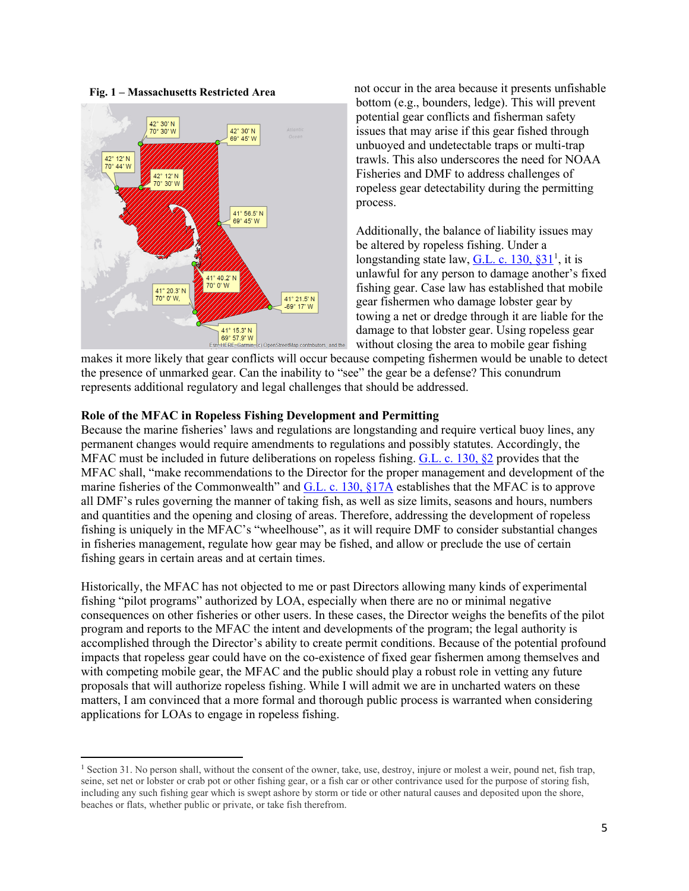**Fig. 1 – Massachusetts Restricted Area**



not occur in the area because it presents unfishable bottom (e.g., bounders, ledge). This will prevent potential gear conflicts and fisherman safety issues that may arise if this gear fished through unbuoyed and undetectable traps or multi-trap trawls. This also underscores the need for NOAA Fisheries and DMF to address challenges of ropeless gear detectability during the permitting process.

Additionally, the balance of liability issues may be altered by ropeless fishing. Under a longstanding state law,  $G.L. c. 130, $31<sup>1</sup>$  $G.L. c. 130, $31<sup>1</sup>$  $G.L. c. 130, $31<sup>1</sup>$ , it is unlawful for any person to damage another's fixed fishing gear. Case law has established that mobile gear fishermen who damage lobster gear by towing a net or dredge through it are liable for the damage to that lobster gear. Using ropeless gear without closing the area to mobile gear fishing

makes it more likely that gear conflicts will occur because competing fishermen would be unable to detect the presence of unmarked gear. Can the inability to "see" the gear be a defense? This conundrum represents additional regulatory and legal challenges that should be addressed.

#### **Role of the MFAC in Ropeless Fishing Development and Permitting**

Because the marine fisheries' laws and regulations are longstanding and require vertical buoy lines, any permanent changes would require amendments to regulations and possibly statutes. Accordingly, the MFAC must be included in future deliberations on ropeless fishing. [G.L. c. 130, §2](https://malegislature.gov/Laws/GeneralLaws/PartI/TitleXIX/Chapter130/Section1B) provides that the MFAC shall, "make recommendations to the Director for the proper management and development of the marine fisheries of the Commonwealth" and G.L. c. 130,  $\S17A$  establishes that the MFAC is to approve all DMF's rules governing the manner of taking fish, as well as size limits, seasons and hours, numbers and quantities and the opening and closing of areas. Therefore, addressing the development of ropeless fishing is uniquely in the MFAC's "wheelhouse", as it will require DMF to consider substantial changes in fisheries management, regulate how gear may be fished, and allow or preclude the use of certain fishing gears in certain areas and at certain times.

Historically, the MFAC has not objected to me or past Directors allowing many kinds of experimental fishing "pilot programs" authorized by LOA, especially when there are no or minimal negative consequences on other fisheries or other users. In these cases, the Director weighs the benefits of the pilot program and reports to the MFAC the intent and developments of the program; the legal authority is accomplished through the Director's ability to create permit conditions. Because of the potential profound impacts that ropeless gear could have on the co-existence of fixed gear fishermen among themselves and with competing mobile gear, the MFAC and the public should play a robust role in vetting any future proposals that will authorize ropeless fishing. While I will admit we are in uncharted waters on these matters, I am convinced that a more formal and thorough public process is warranted when considering applications for LOAs to engage in ropeless fishing.

<span id="page-4-0"></span><sup>&</sup>lt;sup>1</sup> Section 31. No person shall, without the consent of the owner, take, use, destroy, injure or molest a weir, pound net, fish trap, seine, set net or lobster or crab pot or other fishing gear, or a fish car or other contrivance used for the purpose of storing fish, including any such fishing gear which is swept ashore by storm or tide or other natural causes and deposited upon the shore, beaches or flats, whether public or private, or take fish therefrom.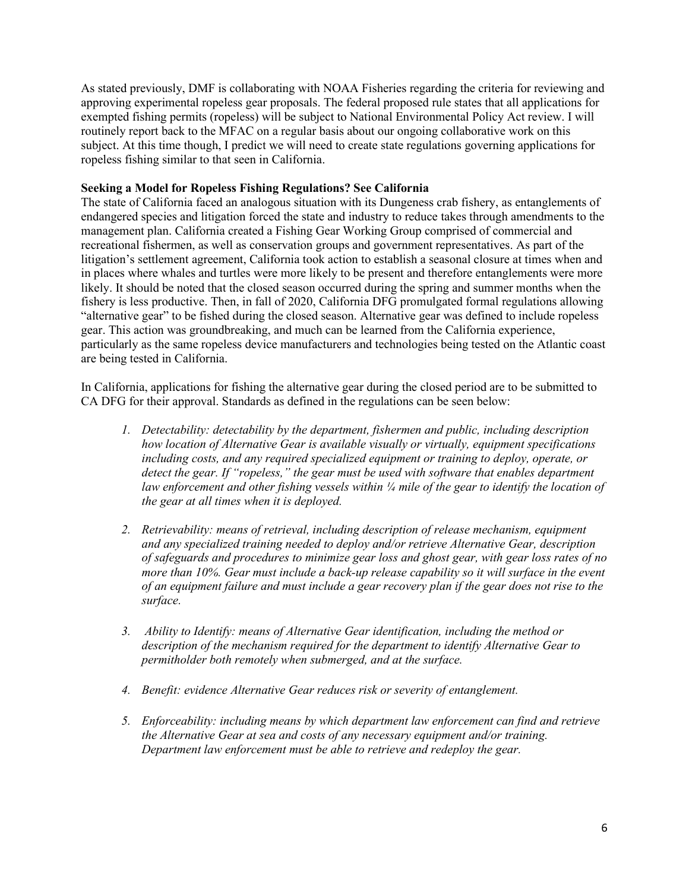As stated previously, DMF is collaborating with NOAA Fisheries regarding the criteria for reviewing and approving experimental ropeless gear proposals. The federal proposed rule states that all applications for exempted fishing permits (ropeless) will be subject to National Environmental Policy Act review. I will routinely report back to the MFAC on a regular basis about our ongoing collaborative work on this subject. At this time though, I predict we will need to create state regulations governing applications for ropeless fishing similar to that seen in California.

#### **Seeking a Model for Ropeless Fishing Regulations? See California**

The state of California faced an analogous situation with its Dungeness crab fishery, as entanglements of endangered species and litigation forced the state and industry to reduce takes through amendments to the management plan. California created a Fishing Gear Working Group comprised of commercial and recreational fishermen, as well as conservation groups and government representatives. As part of the litigation's settlement agreement, California took action to establish a seasonal closure at times when and in places where whales and turtles were more likely to be present and therefore entanglements were more likely. It should be noted that the closed season occurred during the spring and summer months when the fishery is less productive. Then, in fall of 2020, California DFG promulgated formal regulations allowing "alternative gear" to be fished during the closed season. Alternative gear was defined to include ropeless gear. This action was groundbreaking, and much can be learned from the California experience, particularly as the same ropeless device manufacturers and technologies being tested on the Atlantic coast are being tested in California.

In California, applications for fishing the alternative gear during the closed period are to be submitted to CA DFG for their approval. Standards as defined in the regulations can be seen below:

- *1. Detectability: detectability by the department, fishermen and public, including description how location of Alternative Gear is available visually or virtually, equipment specifications including costs, and any required specialized equipment or training to deploy, operate, or detect the gear. If "ropeless," the gear must be used with software that enables department law enforcement and other fishing vessels within ¼ mile of the gear to identify the location of the gear at all times when it is deployed.*
- *2. Retrievability: means of retrieval, including description of release mechanism, equipment and any specialized training needed to deploy and/or retrieve Alternative Gear, description of safeguards and procedures to minimize gear loss and ghost gear, with gear loss rates of no*  more than 10%. Gear must include a back-up release capability so it will surface in the event *of an equipment failure and must include a gear recovery plan if the gear does not rise to the surface.*
- *3. Ability to Identify: means of Alternative Gear identification, including the method or description of the mechanism required for the department to identify Alternative Gear to permitholder both remotely when submerged, and at the surface.*
- *4. Benefit: evidence Alternative Gear reduces risk or severity of entanglement.*
- *5. Enforceability: including means by which department law enforcement can find and retrieve the Alternative Gear at sea and costs of any necessary equipment and/or training. Department law enforcement must be able to retrieve and redeploy the gear.*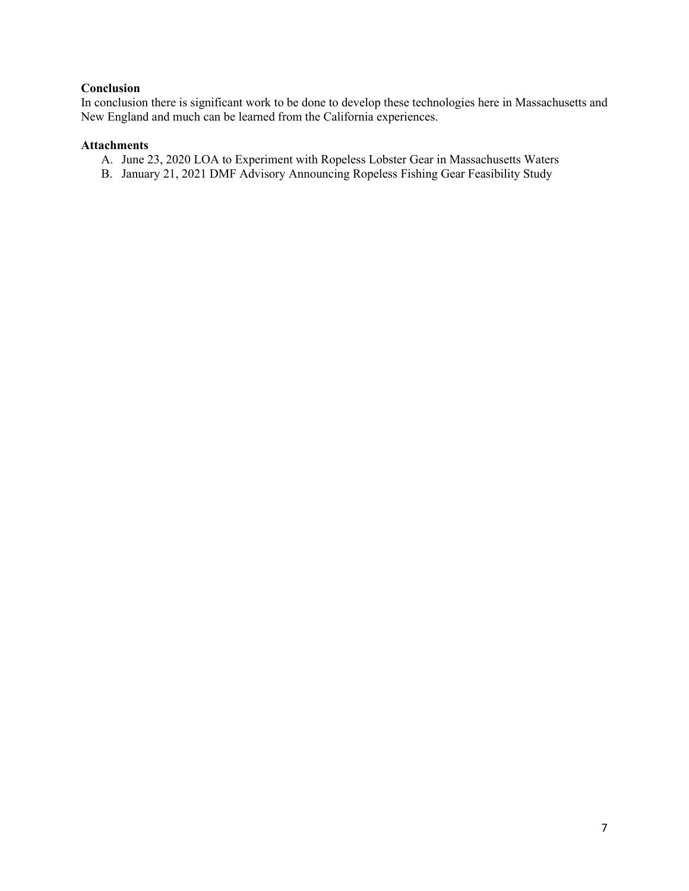#### **Conclusion**

In conclusion there is significant work to be done to develop these technologies here in Massachusetts and New England and much can be learned from the California experiences.

#### **Attachments**

- A. June 23, 2020 LOA to Experiment with Ropeless Lobster Gear in Massachusetts Waters
- B. January 21, 2021 DMF Advisory Announcing Ropeless Fishing Gear Feasibility Study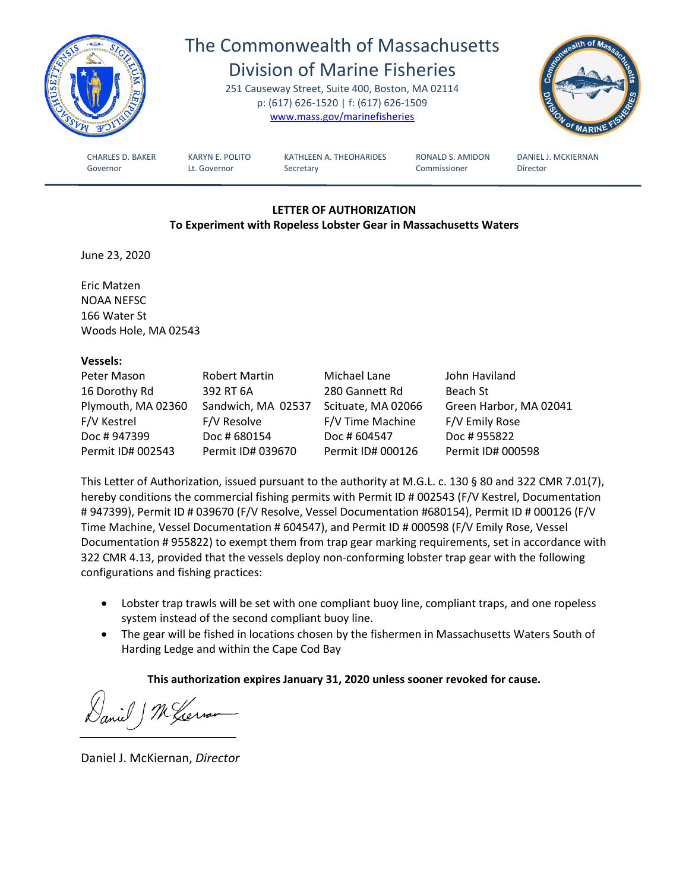

# The Commonwealth of Massachusetts

Division of Marine Fisheries 251 Causeway Street, Suite 400, Boston, MA 02114 p: (617) 626-1520 | f: (617) 626-1509 [www.mass.gov/marinefisheries](http://www.mass.gov/marinefisheries)



CHARLES D. BAKER KARYN E. POLITO KATHLEEN A. THEOHARIDES RONALD S. AMIDON DANIEL J. MCKIERNAN Governor **Lt. Governor** Secretary **Commissioner** Director

### **LETTER OF AUTHORIZATION To Experiment with Ropeless Lobster Gear in Massachusetts Waters**

June 23, 2020

Eric Matzen NOAA NEFSC 166 Water St Woods Hole, MA 02543

#### **Vessels:**

| Peter Mason        | Robert Martin      | Michael Lane       | John Haviland          |
|--------------------|--------------------|--------------------|------------------------|
| 16 Dorothy Rd      | 392 RT 6A          | 280 Gannett Rd     | Beach St               |
| Plymouth, MA 02360 | Sandwich, MA 02537 | Scituate, MA 02066 | Green Harbor, MA 02041 |
| F/V Kestrel        | F/V Resolve        | F/V Time Machine   | F/V Emily Rose         |
| Doc #947399        | Doc # 680154       | Doc # 604547       | Doc # 955822           |
| Permit ID# 002543  | Permit ID# 039670  | Permit ID# 000126  | Permit ID# 000598      |

This Letter of Authorization, issued pursuant to the authority at M.G.L. c. 130 § 80 and 322 CMR 7.01(7), hereby conditions the commercial fishing permits with Permit ID # 002543 (F/V Kestrel, Documentation # 947399), Permit ID # 039670 (F/V Resolve, Vessel Documentation #680154), Permit ID # 000126 (F/V Time Machine, Vessel Documentation # 604547), and Permit ID # 000598 (F/V Emily Rose, Vessel Documentation # 955822) to exempt them from trap gear marking requirements, set in accordance with 322 CMR 4.13, provided that the vessels deploy non-conforming lobster trap gear with the following configurations and fishing practices:

- Lobster trap trawls will be set with one compliant buoy line, compliant traps, and one ropeless system instead of the second compliant buoy line.
- The gear will be fished in locations chosen by the fishermen in Massachusetts Waters South of Harding Ledge and within the Cape Cod Bay

# **This authorization expires January 31, 2020 unless sooner revoked for cause.**

Mexerna

Daniel J. McKiernan, *Director*